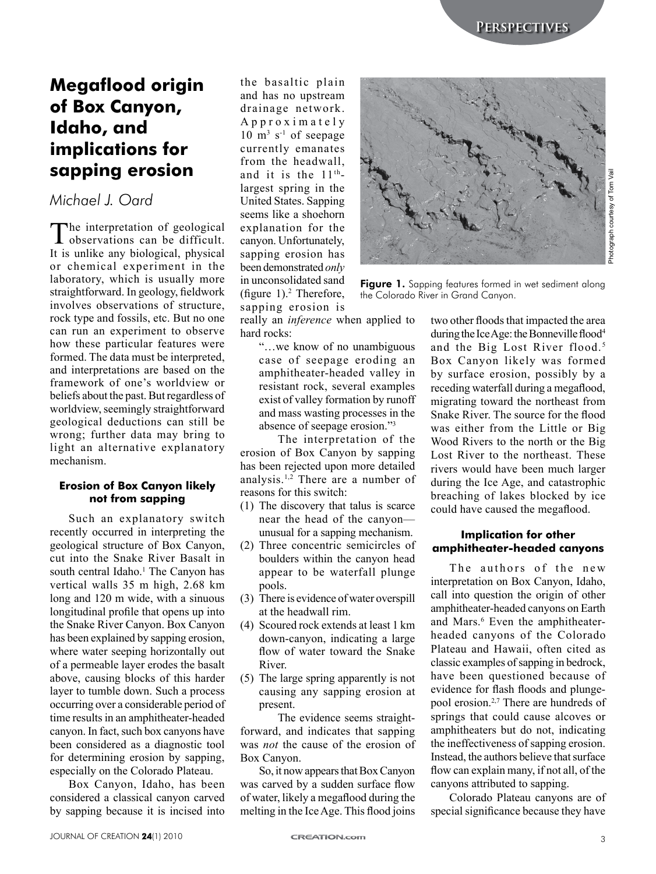# **Megaflood origin of Box Canyon, Idaho, and implications for sapping erosion**

# *Michael J. Oard*

The interpretation of geological<br>observations can be difficult. It is unlike any biological, physical or chemical experiment in the laboratory, which is usually more straightforward. In geology, fieldwork involves observations of structure, rock type and fossils, etc. But no one can run an experiment to observe how these particular features were formed. The data must be interpreted, and interpretations are based on the framework of one's worldview or beliefs about the past. But regardless of worldview, seemingly straightforward geological deductions can still be wrong; further data may bring to light an alternative explanatory mechanism.

### **Erosion of Box Canyon likely not from sapping**

Such an explanatory switch recently occurred in interpreting the geological structure of Box Canyon, cut into the Snake River Basalt in south central Idaho.<sup>1</sup> The Canyon has vertical walls 35 m high, 2.68 km long and 120 m wide, with a sinuous longitudinal profile that opens up into the Snake River Canyon. Box Canyon has been explained by sapping erosion, where water seeping horizontally out of a permeable layer erodes the basalt above, causing blocks of this harder layer to tumble down. Such a process occurring over a considerable period of time results in an amphitheater-headed canyon. In fact, such box canyons have been considered as a diagnostic tool for determining erosion by sapping, especially on the Colorado Plateau.

Box Canyon, Idaho, has been considered a classical canyon carved by sapping because it is incised into

the basaltic plain and has no upstream drainage network. Approximately  $10 \text{ m}^3$  s<sup>-1</sup> of seepage currently emanates from the headwall, and it is the  $11<sup>th</sup>$ largest spring in the United States. Sapping seems like a shoehorn explanation for the canyon. Unfortunately, sapping erosion has been demonstrated *only* in unconsolidated sand (figure  $1$ ).<sup>2</sup> Therefore, sapping erosion is



Figure 1. Sapping features formed in wet sediment along the Colorado River in Grand Canyon.

really an *inference* when applied to hard rocks:

"…we know of no unambiguous case of seepage eroding an amphitheater-headed valley in resistant rock, several examples exist of valley formation by runoff and mass wasting processes in the absence of seepage erosion."3

The interpretation of the erosion of Box Canyon by sapping has been rejected upon more detailed analysis.1,2 There are a number of reasons for this switch:

- (1) The discovery that talus is scarce near the head of the canyon unusual for a sapping mechanism.
- (2) Three concentric semicircles of boulders within the canyon head appear to be waterfall plunge pools.
- (3) There is evidence of water overspill at the headwall rim.
- (4) Scoured rock extends at least 1 km down-canyon, indicating a large flow of water toward the Snake River.
- (5) The large spring apparently is not causing any sapping erosion at present.

The evidence seems straightforward, and indicates that sapping was *not* the cause of the erosion of Box Canyon.

So, it now appears that Box Canyon was carved by a sudden surface flow of water, likely a megaflood during the melting in the Ice Age. This flood joins two other floods that impacted the area during the Ice Age: the Bonneville flood<sup>4</sup> and the Big Lost River flood.<sup>5</sup> Box Canyon likely was formed by surface erosion, possibly by a receding waterfall during a megaflood, migrating toward the northeast from Snake River. The source for the flood was either from the Little or Big Wood Rivers to the north or the Big Lost River to the northeast. These rivers would have been much larger during the Ice Age, and catastrophic breaching of lakes blocked by ice could have caused the megaflood.

## **Implication for other amphitheater-headed canyons**

The authors of the new interpretation on Box Canyon, Idaho, call into question the origin of other amphitheater-headed canyons on Earth and Mars.<sup>6</sup> Even the amphitheaterheaded canyons of the Colorado Plateau and Hawaii, often cited as classic examples of sapping in bedrock, have been questioned because of evidence for flash floods and plungepool erosion.2,7 There are hundreds of springs that could cause alcoves or amphitheaters but do not, indicating the ineffectiveness of sapping erosion. Instead, the authors believe that surface flow can explain many, if not all, of the canyons attributed to sapping.

Colorado Plateau canyons are of special significance because they have